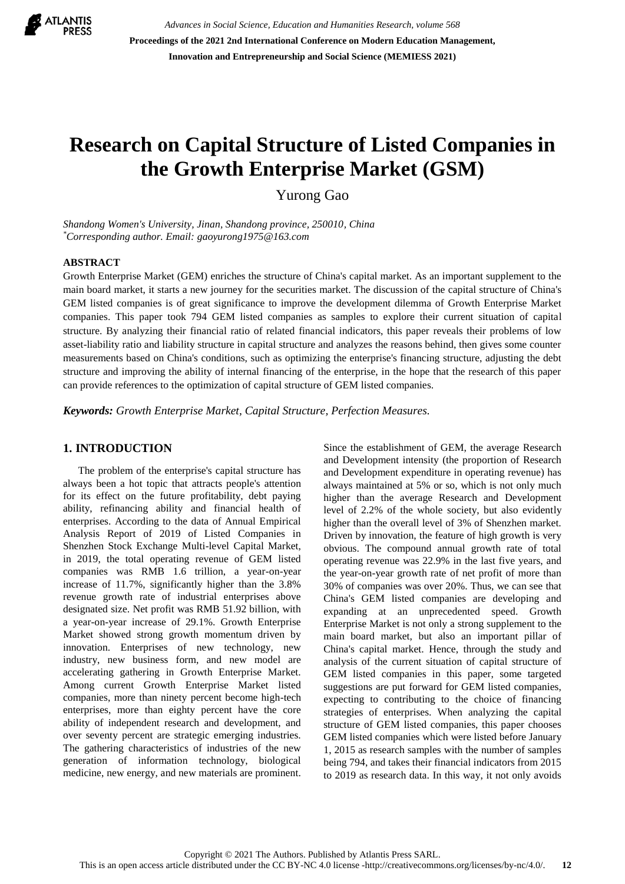

*Advances in Social Science, Education and Humanities Research, volume 568* **Proceedings of the 2021 2nd International Conference on Modern Education Management, Innovation and Entrepreneurship and Social Science (MEMIESS 2021)**

# **Research on Capital Structure of Listed Companies in the Growth Enterprise Market (GSM)**

Yurong Gao

*Shandong Women's University, Jinan, Shandong province, 250010, China \*Corresponding author. Email: gaoyurong1975@163.com*

#### **ABSTRACT**

Growth Enterprise Market (GEM) enriches the structure of China's capital market. As an important supplement to the main board market, it starts a new journey for the securities market. The discussion of the capital structure of China's GEM listed companies is of great significance to improve the development dilemma of Growth Enterprise Market companies. This paper took 794 GEM listed companies as samples to explore their current situation of capital structure. By analyzing their financial ratio of related financial indicators, this paper reveals their problems of low asset-liability ratio and liability structure in capital structure and analyzes the reasons behind, then gives some counter measurements based on China's conditions, such as optimizing the enterprise's financing structure, adjusting the debt structure and improving the ability of internal financing of the enterprise, in the hope that the research of this paper can provide references to the optimization of capital structure of GEM listed companies.

*Keywords: Growth Enterprise Market, Capital Structure, Perfection Measures.*

#### **1. INTRODUCTION**

The problem of the enterprise's capital structure has always been a hot topic that attracts people's attention for its effect on the future profitability, debt paying ability, refinancing ability and financial health of enterprises. According to the data of Annual Empirical Analysis Report of 2019 of Listed Companies in Shenzhen Stock Exchange Multi-level Capital Market, in 2019, the total operating revenue of GEM listed companies was RMB 1.6 trillion, a year-on-year increase of 11.7%, significantly higher than the 3.8% revenue growth rate of industrial enterprises above designated size. Net profit was RMB 51.92 billion, with a year-on-year increase of 29.1%. Growth Enterprise Market showed strong growth momentum driven by innovation. Enterprises of new technology, new industry, new business form, and new model are accelerating gathering in Growth Enterprise Market. Among current Growth Enterprise Market listed companies, more than ninety percent become high-tech enterprises, more than eighty percent have the core ability of independent research and development, and over seventy percent are strategic emerging industries. The gathering characteristics of industries of the new generation of information technology, biological medicine, new energy, and new materials are prominent. Since the establishment of GEM, the average Research and Development intensity (the proportion of Research and Development expenditure in operating revenue) has always maintained at 5% or so, which is not only much higher than the average Research and Development level of 2.2% of the whole society, but also evidently higher than the overall level of 3% of Shenzhen market. Driven by innovation, the feature of high growth is very obvious. The compound annual growth rate of total operating revenue was 22.9% in the last five years, and the year-on-year growth rate of net profit of more than 30% of companies was over 20%. Thus, we can see that China's GEM listed companies are developing and expanding at an unprecedented speed. Growth Enterprise Market is not only a strong supplement to the main board market, but also an important pillar of China's capital market. Hence, through the study and analysis of the current situation of capital structure of GEM listed companies in this paper, some targeted suggestions are put forward for GEM listed companies, expecting to contributing to the choice of financing strategies of enterprises. When analyzing the capital structure of GEM listed companies, this paper chooses GEM listed companies which were listed before January 1, 2015 as research samples with the number of samples being 794, and takes their financial indicators from 2015 to 2019 as research data. In this way, it not only avoids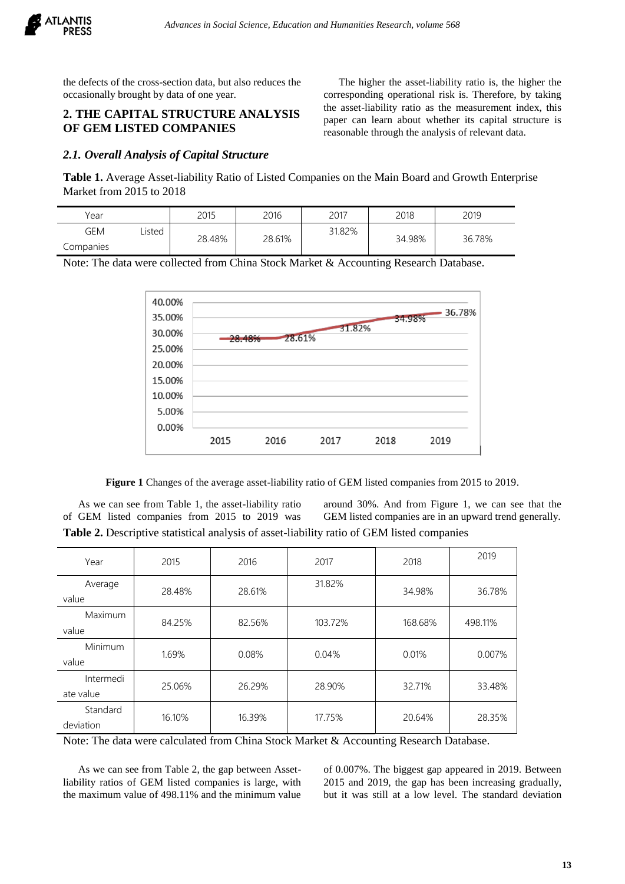

the defects of the cross-section data, but also reduces the occasionally brought by data of one year.

## **2. THE CAPITAL STRUCTURE ANALYSIS OF GEM LISTED COMPANIES**

#### *2.1. Overall Analysis of Capital Structure*

The higher the asset-liability ratio is, the higher the corresponding operational risk is. Therefore, by taking the asset-liability ratio as the measurement index, this paper can learn about whether its capital structure is reasonable through the analysis of relevant data.

**Table 1.** Average Asset-liability Ratio of Listed Companies on the Main Board and Growth Enterprise Market from 2015 to 2018

| Year      |        | 2015   | 2016   | 2017   | 2018   | 2019   |
|-----------|--------|--------|--------|--------|--------|--------|
| gem       | .isted | 28.48% | 28.61% | 31.82% | 34.98% | 36.78% |
| Companies |        |        |        |        |        |        |

Note: The data were collected from China Stock Market & Accounting Research Database.



**Figure 1** Changes of the average asset-liability ratio of GEM listed companies from 2015 to 2019.

As we can see from Table 1, the asset-liability ratio of GEM listed companies from 2015 to 2019 was around 30%. And from Figure 1, we can see that the GEM listed companies are in an upward trend generally. **Table 2.** Descriptive statistical analysis of asset-liability ratio of GEM listed companies

| Year                   | 2015   | 2016   | 2017    | 2018    | 2019    |
|------------------------|--------|--------|---------|---------|---------|
| Average<br>value       | 28.48% | 28.61% | 31.82%  | 34.98%  | 36.78%  |
| Maximum<br>value       | 84.25% | 82.56% | 103.72% | 168.68% | 498.11% |
| Minimum<br>value       | 1.69%  | 0.08%  | 0.04%   | 0.01%   | 0.007%  |
| Intermedi<br>ate value | 25.06% | 26.29% | 28.90%  | 32.71%  | 33.48%  |
| Standard<br>deviation  | 16.10% | 16.39% | 17.75%  | 20.64%  | 28.35%  |

Note: The data were calculated from China Stock Market & Accounting Research Database.

As we can see from Table 2, the gap between Assetliability ratios of GEM listed companies is large, with the maximum value of 498.11% and the minimum value of 0.007%. The biggest gap appeared in 2019. Between 2015 and 2019, the gap has been increasing gradually, but it was still at a low level. The standard deviation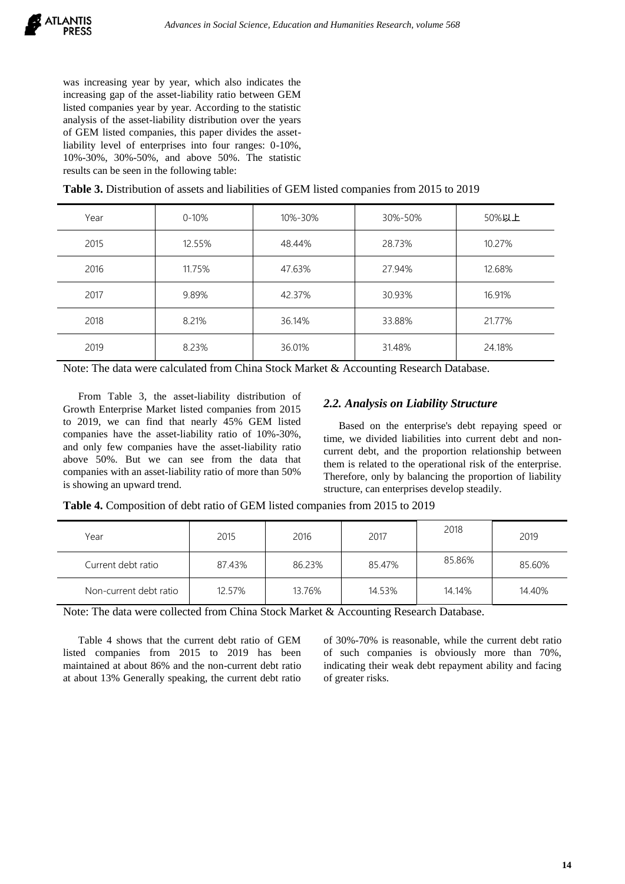was increasing year by year, which also indicates the increasing gap of the asset-liability ratio between GEM listed companies year by year. According to the statistic analysis of the asset-liability distribution over the years of GEM listed companies, this paper divides the assetliability level of enterprises into four ranges: 0-10%, 10%-30%, 30%-50%, and above 50%. The statistic results can be seen in the following table:

**Table 3.** Distribution of assets and liabilities of GEM listed companies from 2015 to 2019

| Year | $0 - 10%$ | 10%-30% | 30%-50% | 50%以上  |
|------|-----------|---------|---------|--------|
| 2015 | 12.55%    | 48.44%  | 28.73%  | 10.27% |
| 2016 | 11.75%    | 47.63%  | 27.94%  | 12.68% |
| 2017 | 9.89%     | 42.37%  | 30.93%  | 16.91% |
| 2018 | 8.21%     | 36.14%  | 33.88%  | 21.77% |
| 2019 | 8.23%     | 36.01%  | 31.48%  | 24.18% |

Note: The data were calculated from China Stock Market & Accounting Research Database.

From Table 3, the asset-liability distribution of Growth Enterprise Market listed companies from 2015 to 2019, we can find that nearly 45% GEM listed companies have the asset-liability ratio of 10%-30%, and only few companies have the asset-liability ratio above 50%. But we can see from the data that companies with an asset-liability ratio of more than 50% is showing an upward trend.

## *2.2. Analysis on Liability Structure*

Based on the enterprise's debt repaying speed or time, we divided liabilities into current debt and noncurrent debt, and the proportion relationship between them is related to the operational risk of the enterprise. Therefore, only by balancing the proportion of liability structure, can enterprises develop steadily.

**Table 4.** Composition of debt ratio of GEM listed companies from 2015 to 2019

| Year                   | 2015   | 2016   | 2017   | 2018   | 2019   |
|------------------------|--------|--------|--------|--------|--------|
| Current debt ratio     | 87.43% | 86.23% | 85.47% | 85.86% | 85.60% |
| Non-current debt ratio | 12.57% | 13.76% | 14.53% | 14.14% | 14.40% |

Note: The data were collected from China Stock Market & Accounting Research Database.

Table 4 shows that the current debt ratio of GEM listed companies from 2015 to 2019 has been maintained at about 86% and the non-current debt ratio at about 13% Generally speaking, the current debt ratio of 30%-70% is reasonable, while the current debt ratio of such companies is obviously more than 70%, indicating their weak debt repayment ability and facing of greater risks.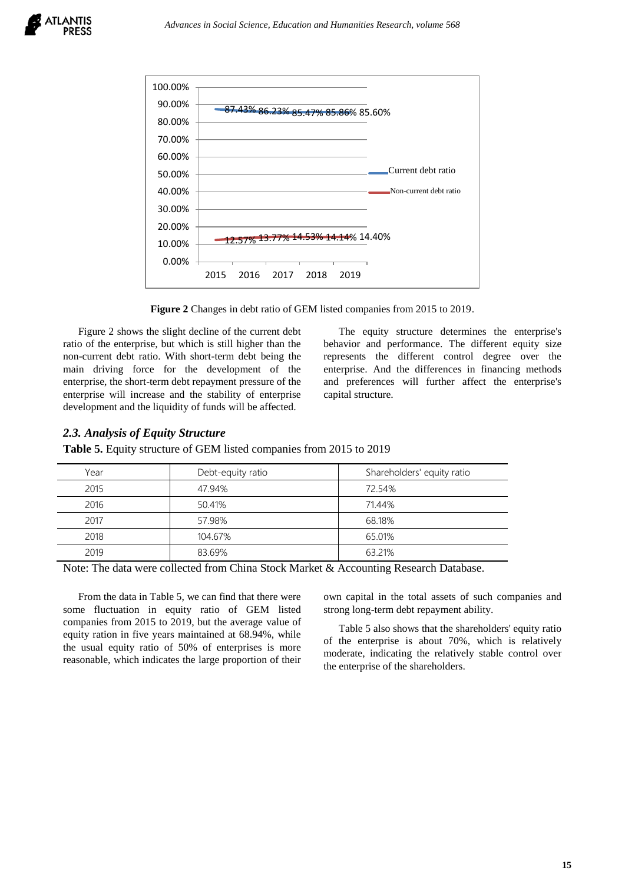



**Figure 2** Changes in debt ratio of GEM listed companies from 2015 to 2019.

Figure 2 shows the slight decline of the current debt ratio of the enterprise, but which is still higher than the non-current debt ratio. With short-term debt being the main driving force for the development of the enterprise, the short-term debt repayment pressure of the enterprise will increase and the stability of enterprise development and the liquidity of funds will be affected.

The equity structure determines the enterprise's behavior and performance. The different equity size represents the different control degree over the enterprise. And the differences in financing methods and preferences will further affect the enterprise's capital structure.

#### *2.3. Analysis of Equity Structure*

**Table 5.** Equity structure of GEM listed companies from 2015 to 2019

| Year | Debt-equity ratio | Shareholders' equity ratio |
|------|-------------------|----------------------------|
| 2015 | 47.94%            | 72.54%                     |
| 2016 | 50.41%            | 71.44%                     |
| 2017 | 57.98%            | 68.18%                     |
| 2018 | 104.67%           | 65.01%                     |
| 2019 | 83.69%            | 63.21%                     |

Note: The data were collected from China Stock Market & Accounting Research Database.

From the data in Table 5, we can find that there were some fluctuation in equity ratio of GEM listed companies from 2015 to 2019, but the average value of equity ration in five years maintained at 68.94%, while the usual equity ratio of 50% of enterprises is more reasonable, which indicates the large proportion of their own capital in the total assets of such companies and strong long-term debt repayment ability.

Table 5 also shows that the shareholders' equity ratio of the enterprise is about 70%, which is relatively moderate, indicating the relatively stable control over the enterprise of the shareholders.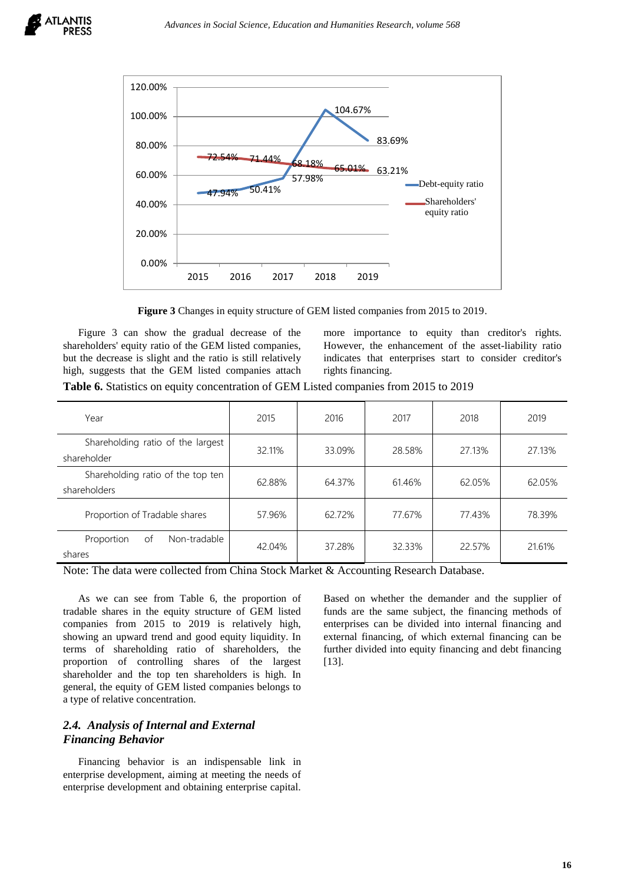

**Figure 3** Changes in equity structure of GEM listed companies from 2015 to 2019.

Figure 3 can show the gradual decrease of the shareholders' equity ratio of the GEM listed companies, but the decrease is slight and the ratio is still relatively high, suggests that the GEM listed companies attach more importance to equity than creditor's rights. However, the enhancement of the asset-liability ratio indicates that enterprises start to consider creditor's rights financing.

**Table 6.** Statistics on equity concentration of GEM Listed companies from 2015 to 2019

| Year                                              | 2015   | 2016   | 2017   | 2018   | 2019   |
|---------------------------------------------------|--------|--------|--------|--------|--------|
| Shareholding ratio of the largest<br>shareholder  | 32.11% | 33.09% | 28.58% | 27.13% | 27.13% |
| Shareholding ratio of the top ten<br>shareholders | 62.88% | 64.37% | 61.46% | 62.05% | 62.05% |
| Proportion of Tradable shares                     | 57.96% | 62.72% | 77.67% | 77.43% | 78.39% |
| Non-tradable<br>Proportion<br>of<br>shares        | 42.04% | 37.28% | 32.33% | 22.57% | 21.61% |

Note: The data were collected from China Stock Market & Accounting Research Database.

As we can see from Table 6, the proportion of tradable shares in the equity structure of GEM listed companies from 2015 to 2019 is relatively high, showing an upward trend and good equity liquidity. In terms of shareholding ratio of shareholders, the proportion of controlling shares of the largest shareholder and the top ten shareholders is high. In general, the equity of GEM listed companies belongs to a type of relative concentration.

## *2.4. Analysis of Internal and External Financing Behavior*

Financing behavior is an indispensable link in enterprise development, aiming at meeting the needs of enterprise development and obtaining enterprise capital. Based on whether the demander and the supplier of funds are the same subject, the financing methods of enterprises can be divided into internal financing and external financing, of which external financing can be further divided into equity financing and debt financing [13].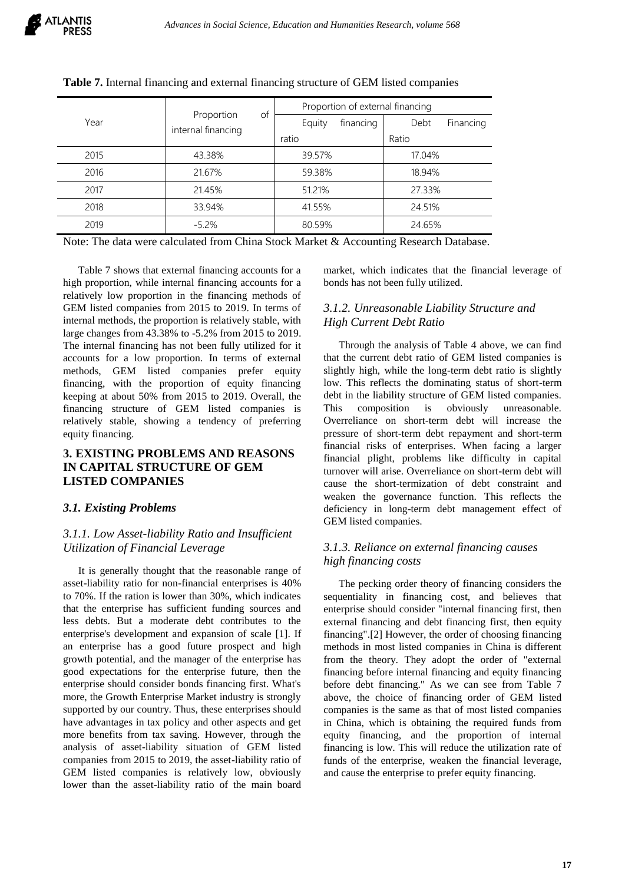|      | of<br>Proportion   | Proportion of external financing |                   |  |  |
|------|--------------------|----------------------------------|-------------------|--|--|
| Year | internal financing | financing<br>Equity              | Debt<br>Financing |  |  |
|      |                    | ratio                            | Ratio             |  |  |
| 2015 | 43.38%             | 39.57%                           | 17.04%            |  |  |
| 2016 | 21.67%             | 59.38%                           | 18.94%            |  |  |
| 2017 | 21.45%             | 51.21%                           | 27.33%            |  |  |
| 2018 | 33.94%             | 41.55%                           | 24.51%            |  |  |
| 2019 | $-5.2\%$           | 80.59%                           | 24.65%            |  |  |

#### **Table 7.** Internal financing and external financing structure of GEM listed companies

Note: The data were calculated from China Stock Market & Accounting Research Database.

Table 7 shows that external financing accounts for a high proportion, while internal financing accounts for a relatively low proportion in the financing methods of GEM listed companies from 2015 to 2019. In terms of internal methods, the proportion is relatively stable, with large changes from 43.38% to -5.2% from 2015 to 2019. The internal financing has not been fully utilized for it accounts for a low proportion. In terms of external methods, GEM listed companies prefer equity financing, with the proportion of equity financing keeping at about 50% from 2015 to 2019. Overall, the financing structure of GEM listed companies is relatively stable, showing a tendency of preferring equity financing.

## **3. EXISTING PROBLEMS AND REASONS IN CAPITAL STRUCTURE OF GEM LISTED COMPANIES**

#### *3.1. Existing Problems*

## *3.1.1. Low Asset-liability Ratio and Insufficient Utilization of Financial Leverage*

It is generally thought that the reasonable range of asset-liability ratio for non-financial enterprises is 40% to 70%. If the ration is lower than 30%, which indicates that the enterprise has sufficient funding sources and less debts. But a moderate debt contributes to the enterprise's development and expansion of scale [1]. If an enterprise has a good future prospect and high growth potential, and the manager of the enterprise has good expectations for the enterprise future, then the enterprise should consider bonds financing first. What's more, the Growth Enterprise Market industry is strongly supported by our country. Thus, these enterprises should have advantages in tax policy and other aspects and get more benefits from tax saving. However, through the analysis of asset-liability situation of GEM listed companies from 2015 to 2019, the asset-liability ratio of GEM listed companies is relatively low, obviously lower than the asset-liability ratio of the main board market, which indicates that the financial leverage of bonds has not been fully utilized.

#### *3.1.2. Unreasonable Liability Structure and High Current Debt Ratio*

Through the analysis of Table 4 above, we can find that the current debt ratio of GEM listed companies is slightly high, while the long-term debt ratio is slightly low. This reflects the dominating status of short-term debt in the liability structure of GEM listed companies. This composition is obviously unreasonable. Overreliance on short-term debt will increase the pressure of short-term debt repayment and short-term financial risks of enterprises. When facing a larger financial plight, problems like difficulty in capital turnover will arise. Overreliance on short-term debt will cause the short-termization of debt constraint and weaken the governance function. This reflects the deficiency in long-term debt management effect of GEM listed companies.

## *3.1.3. Reliance on external financing causes high financing costs*

The pecking order theory of financing considers the sequentiality in financing cost, and believes that enterprise should consider "internal financing first, then external financing and debt financing first, then equity financing".[2] However, the order of choosing financing methods in most listed companies in China is different from the theory. They adopt the order of "external financing before internal financing and equity financing before debt financing." As we can see from Table 7 above, the choice of financing order of GEM listed companies is the same as that of most listed companies in China, which is obtaining the required funds from equity financing, and the proportion of internal financing is low. This will reduce the utilization rate of funds of the enterprise, weaken the financial leverage, and cause the enterprise to prefer equity financing.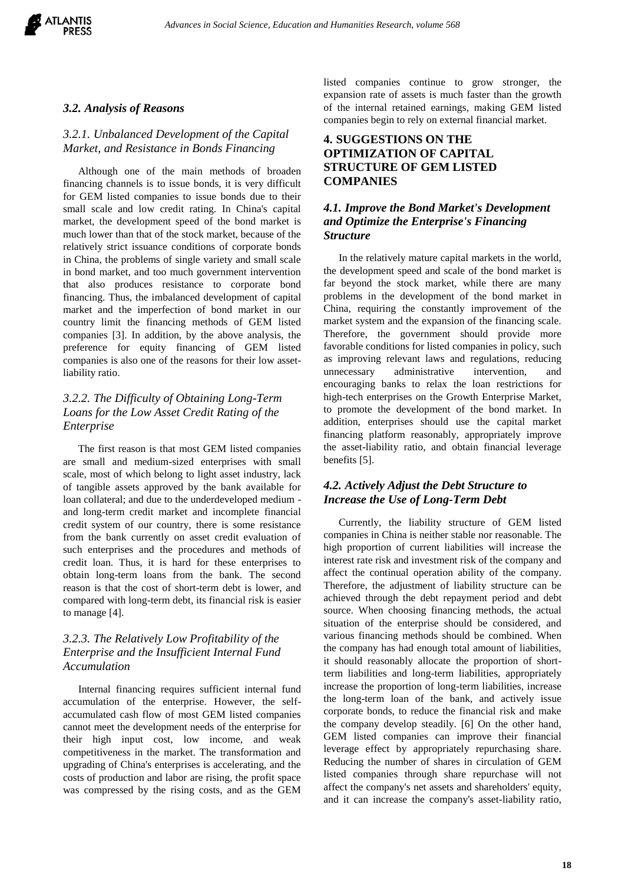

#### *3.2. Analysis of Reasons*

#### *3.2.1. Unbalanced Development of the Capital Market, and Resistance in Bonds Financing*

Although one of the main methods of broaden financing channels is to issue bonds, it is very difficult for GEM listed companies to issue bonds due to their small scale and low credit rating. In China's capital market, the development speed of the bond market is much lower than that of the stock market, because of the relatively strict issuance conditions of corporate bonds in China, the problems of single variety and small scale in bond market, and too much government intervention that also produces resistance to corporate bond financing. Thus, the imbalanced development of capital market and the imperfection of bond market in our country limit the financing methods of GEM listed companies [3]. In addition, by the above analysis, the preference for equity financing of GEM listed companies is also one of the reasons for their low assetliability ratio.

## *3.2.2. The Difficulty of Obtaining Long-Term Loans for the Low Asset Credit Rating of the Enterprise*

The first reason is that most GEM listed companies are small and medium-sized enterprises with small scale, most of which belong to light asset industry, lack of tangible assets approved by the bank available for loan collateral; and due to the underdeveloped medium and long-term credit market and incomplete financial credit system of our country, there is some resistance from the bank currently on asset credit evaluation of such enterprises and the procedures and methods of credit loan. Thus, it is hard for these enterprises to obtain long-term loans from the bank. The second reason is that the cost of short-term debt is lower, and compared with long-term debt, its financial risk is easier to manage [4].

## *3.2.3. The Relatively Low Profitability of the Enterprise and the Insufficient Internal Fund Accumulation*

Internal financing requires sufficient internal fund accumulation of the enterprise. However, the selfaccumulated cash flow of most GEM listed companies cannot meet the development needs of the enterprise for their high input cost, low income, and weak competitiveness in the market. The transformation and upgrading of China's enterprises is accelerating, and the costs of production and labor are rising, the profit space was compressed by the rising costs, and as the GEM

listed companies continue to grow stronger, the expansion rate of assets is much faster than the growth of the internal retained earnings, making GEM listed companies begin to rely on external financial market.

## **4. SUGGESTIONS ON THE OPTIMIZATION OF CAPITAL STRUCTURE OF GEM LISTED COMPANIES**

### *4.1. Improve the Bond Market's Development and Optimize the Enterprise's Financing Structure*

In the relatively mature capital markets in the world, the development speed and scale of the bond market is far beyond the stock market, while there are many problems in the development of the bond market in China, requiring the constantly improvement of the market system and the expansion of the financing scale. Therefore, the government should provide more favorable conditions for listed companies in policy, such as improving relevant laws and regulations, reducing unnecessary administrative intervention, and encouraging banks to relax the loan restrictions for high-tech enterprises on the Growth Enterprise Market, to promote the development of the bond market. In addition, enterprises should use the capital market financing platform reasonably, appropriately improve the asset-liability ratio, and obtain financial leverage benefits [5].

#### *4.2. Actively Adjust the Debt Structure to Increase the Use of Long-Term Debt*

Currently, the liability structure of GEM listed companies in China is neither stable nor reasonable. The high proportion of current liabilities will increase the interest rate risk and investment risk of the company and affect the continual operation ability of the company. Therefore, the adjustment of liability structure can be achieved through the debt repayment period and debt source. When choosing financing methods, the actual situation of the enterprise should be considered, and various financing methods should be combined. When the company has had enough total amount of liabilities, it should reasonably allocate the proportion of shortterm liabilities and long-term liabilities, appropriately increase the proportion of long-term liabilities, increase the long-term loan of the bank, and actively issue corporate bonds, to reduce the financial risk and make the company develop steadily. [6] On the other hand, GEM listed companies can improve their financial leverage effect by appropriately repurchasing share. Reducing the number of shares in circulation of GEM listed companies through share repurchase will not affect the company's net assets and shareholders' equity, and it can increase the company's asset-liability ratio,